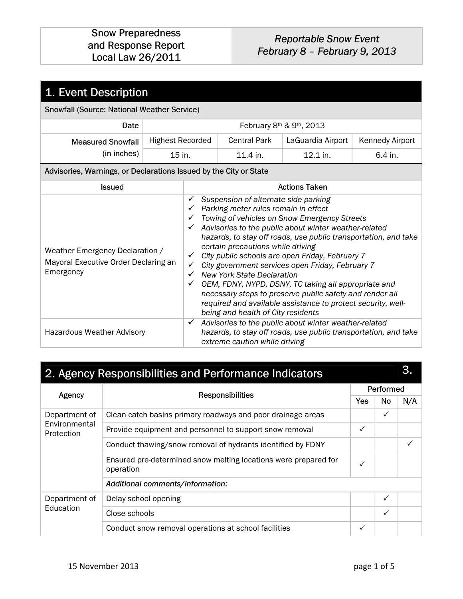#### Snow Preparedness and Response Report Local Law 26/2011

## Reportable Snow Event February 8 – February 9, 2013

| 1. Event Description                                                                 |                         |                                                                                                                                                                                                                                                                                                                                                                                                                                                                                                                                                                                                                                                                                                                                                         |                     |                          |                 |  |
|--------------------------------------------------------------------------------------|-------------------------|---------------------------------------------------------------------------------------------------------------------------------------------------------------------------------------------------------------------------------------------------------------------------------------------------------------------------------------------------------------------------------------------------------------------------------------------------------------------------------------------------------------------------------------------------------------------------------------------------------------------------------------------------------------------------------------------------------------------------------------------------------|---------------------|--------------------------|-----------------|--|
| Snowfall (Source: National Weather Service)                                          |                         |                                                                                                                                                                                                                                                                                                                                                                                                                                                                                                                                                                                                                                                                                                                                                         |                     |                          |                 |  |
| Date                                                                                 |                         |                                                                                                                                                                                                                                                                                                                                                                                                                                                                                                                                                                                                                                                                                                                                                         |                     | February 8th & 9th, 2013 |                 |  |
| <b>Measured Snowfall</b>                                                             | <b>Highest Recorded</b> |                                                                                                                                                                                                                                                                                                                                                                                                                                                                                                                                                                                                                                                                                                                                                         | <b>Central Park</b> | LaGuardia Airport        | Kennedy Airport |  |
| (in inches)                                                                          | 15 in.                  |                                                                                                                                                                                                                                                                                                                                                                                                                                                                                                                                                                                                                                                                                                                                                         | 11.4 in.            | 12.1 in.                 | 6.4 in.         |  |
| Advisories, Warnings, or Declarations Issued by the City or State                    |                         |                                                                                                                                                                                                                                                                                                                                                                                                                                                                                                                                                                                                                                                                                                                                                         |                     |                          |                 |  |
| <b>Issued</b>                                                                        |                         | <b>Actions Taken</b>                                                                                                                                                                                                                                                                                                                                                                                                                                                                                                                                                                                                                                                                                                                                    |                     |                          |                 |  |
| Weather Emergency Declaration /<br>Mayoral Executive Order Declaring an<br>Emergency |                         | Suspension of alternate side parking<br>✓<br>Parking meter rules remain in effect<br>✓<br>Towing of vehicles on Snow Emergency Streets<br>✓<br>Advisories to the public about winter weather-related<br>$\checkmark$<br>hazards, to stay off roads, use public transportation, and take<br>certain precautions while driving<br>City public schools are open Friday, February 7<br>$\checkmark$<br>City government services open Friday, February 7<br>✓<br><b>New York State Declaration</b><br>$\checkmark$<br>OEM, FDNY, NYPD, DSNY, TC taking all appropriate and<br>$\checkmark$<br>necessary steps to preserve public safety and render all<br>required and available assistance to protect security, well-<br>being and health of City residents |                     |                          |                 |  |
| Hazardous Weather Advisory                                                           |                         | Advisories to the public about winter weather-related<br>$\checkmark$<br>hazards, to stay off roads, use public transportation, and take<br>extreme caution while driving                                                                                                                                                                                                                                                                                                                                                                                                                                                                                                                                                                               |                     |                          |                 |  |

| 2. Agency Responsibilities and Performance Indicators |                                                                              |              |              |     |  |
|-------------------------------------------------------|------------------------------------------------------------------------------|--------------|--------------|-----|--|
| Agency                                                | <b>Responsibilities</b>                                                      |              | Performed    |     |  |
|                                                       |                                                                              |              | No.          | N/A |  |
| Department of                                         | Clean catch basins primary roadways and poor drainage areas                  |              | $\checkmark$ |     |  |
| Environmental<br>Protection                           | Provide equipment and personnel to support snow removal                      | ✓            |              |     |  |
|                                                       | Conduct thawing/snow removal of hydrants identified by FDNY                  |              |              |     |  |
|                                                       | Ensured pre-determined snow melting locations were prepared for<br>operation | $\checkmark$ |              |     |  |
|                                                       | Additional comments/information:                                             |              |              |     |  |
| Department of<br>Education                            | Delay school opening                                                         |              | $\checkmark$ |     |  |
|                                                       | Close schools                                                                |              | $\checkmark$ |     |  |
|                                                       | Conduct snow removal operations at school facilities                         | ✓            |              |     |  |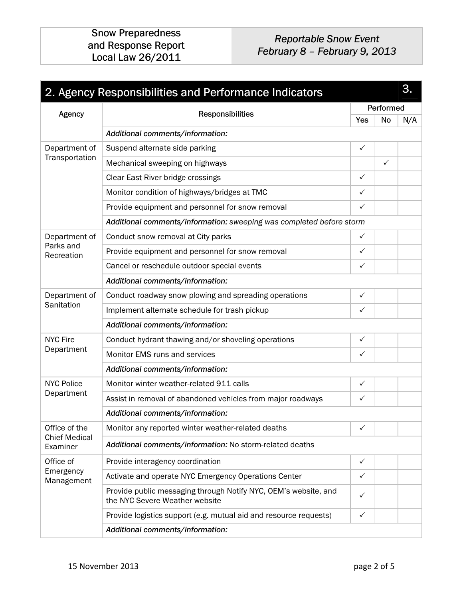## Reportable Snow Event February 8 – February 9, 2013

| 3.<br>2. Agency Responsibilities and Performance Indicators |                                                                                                   |                                                                      |              |     |  |  |  |  |
|-------------------------------------------------------------|---------------------------------------------------------------------------------------------------|----------------------------------------------------------------------|--------------|-----|--|--|--|--|
| Performed                                                   |                                                                                                   |                                                                      |              |     |  |  |  |  |
| Agency                                                      | Responsibilities                                                                                  |                                                                      | No           | N/A |  |  |  |  |
|                                                             | Additional comments/information:                                                                  |                                                                      |              |     |  |  |  |  |
| Department of                                               | Suspend alternate side parking                                                                    | $\checkmark$                                                         |              |     |  |  |  |  |
| Transportation                                              | Mechanical sweeping on highways                                                                   |                                                                      | $\checkmark$ |     |  |  |  |  |
|                                                             | Clear East River bridge crossings                                                                 | $\checkmark$                                                         |              |     |  |  |  |  |
|                                                             | Monitor condition of highways/bridges at TMC                                                      | $\checkmark$                                                         |              |     |  |  |  |  |
|                                                             | Provide equipment and personnel for snow removal                                                  | ✓                                                                    |              |     |  |  |  |  |
|                                                             |                                                                                                   | Additional comments/information: sweeping was completed before storm |              |     |  |  |  |  |
| Department of                                               | Conduct snow removal at City parks                                                                | $\checkmark$                                                         |              |     |  |  |  |  |
| Parks and<br>Recreation                                     | Provide equipment and personnel for snow removal                                                  | $\checkmark$                                                         |              |     |  |  |  |  |
|                                                             | Cancel or reschedule outdoor special events                                                       | ✓                                                                    |              |     |  |  |  |  |
|                                                             | Additional comments/information:                                                                  |                                                                      |              |     |  |  |  |  |
| Department of                                               | Conduct roadway snow plowing and spreading operations                                             | $\checkmark$                                                         |              |     |  |  |  |  |
| Sanitation                                                  | Implement alternate schedule for trash pickup                                                     | $\checkmark$                                                         |              |     |  |  |  |  |
|                                                             | Additional comments/information:                                                                  |                                                                      |              |     |  |  |  |  |
| <b>NYC Fire</b>                                             | Conduct hydrant thawing and/or shoveling operations                                               | $\checkmark$                                                         |              |     |  |  |  |  |
| Department                                                  | Monitor EMS runs and services                                                                     | ✓                                                                    |              |     |  |  |  |  |
|                                                             | Additional comments/information:                                                                  |                                                                      |              |     |  |  |  |  |
| <b>NYC Police</b>                                           | Monitor winter weather-related 911 calls                                                          | $\checkmark$                                                         |              |     |  |  |  |  |
| Department                                                  | Assist in removal of abandoned vehicles from major roadways                                       | ✓                                                                    |              |     |  |  |  |  |
|                                                             | Additional comments/information:                                                                  |                                                                      |              |     |  |  |  |  |
| Office of the                                               | Monitor any reported winter weather-related deaths                                                | ✓                                                                    |              |     |  |  |  |  |
| <b>Chief Medical</b><br>Examiner                            | Additional comments/information: No storm-related deaths                                          |                                                                      |              |     |  |  |  |  |
| Office of                                                   | Provide interagency coordination                                                                  | $\checkmark$                                                         |              |     |  |  |  |  |
| Emergency<br>Management                                     | Activate and operate NYC Emergency Operations Center                                              | ✓                                                                    |              |     |  |  |  |  |
|                                                             | Provide public messaging through Notify NYC, OEM's website, and<br>the NYC Severe Weather website | $\checkmark$                                                         |              |     |  |  |  |  |
|                                                             | Provide logistics support (e.g. mutual aid and resource requests)                                 | $\checkmark$                                                         |              |     |  |  |  |  |
|                                                             | Additional comments/information:                                                                  |                                                                      |              |     |  |  |  |  |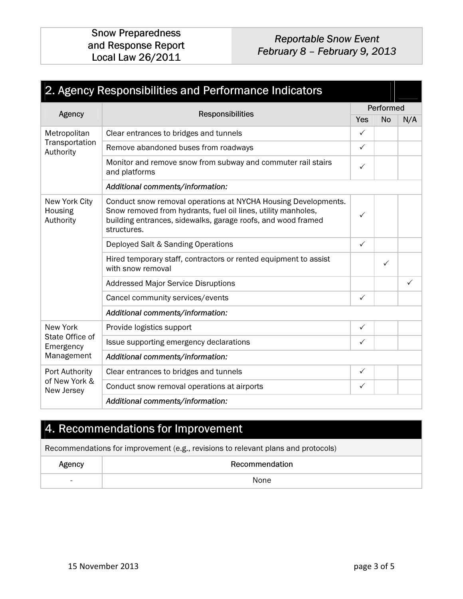Snow Preparedness and Response Report Local Law 26/2011

#### Reportable Snow Event February 8 – February 9, 2013

| 2. Agency Responsibilities and Performance Indicators |                                                                                                                                                                                                                |              |              |              |  |  |
|-------------------------------------------------------|----------------------------------------------------------------------------------------------------------------------------------------------------------------------------------------------------------------|--------------|--------------|--------------|--|--|
| Agency                                                | Performed                                                                                                                                                                                                      |              |              |              |  |  |
|                                                       | <b>Responsibilities</b>                                                                                                                                                                                        | Yes          | <b>No</b>    | N/A          |  |  |
| Metropolitan                                          | Clear entrances to bridges and tunnels                                                                                                                                                                         | $\checkmark$ |              |              |  |  |
| Transportation<br>Authority                           | Remove abandoned buses from roadways                                                                                                                                                                           | $\checkmark$ |              |              |  |  |
|                                                       | Monitor and remove snow from subway and commuter rail stairs<br>and platforms                                                                                                                                  | ✓            |              |              |  |  |
|                                                       | Additional comments/information:                                                                                                                                                                               |              |              |              |  |  |
| New York City<br>Housing<br>Authority                 | Conduct snow removal operations at NYCHA Housing Developments.<br>Snow removed from hydrants, fuel oil lines, utility manholes,<br>building entrances, sidewalks, garage roofs, and wood framed<br>structures. | $\checkmark$ |              |              |  |  |
|                                                       | Deployed Salt & Sanding Operations                                                                                                                                                                             | ✓            |              |              |  |  |
|                                                       | Hired temporary staff, contractors or rented equipment to assist<br>with snow removal                                                                                                                          |              | $\checkmark$ |              |  |  |
|                                                       | <b>Addressed Major Service Disruptions</b>                                                                                                                                                                     |              |              | $\checkmark$ |  |  |
|                                                       | Cancel community services/events                                                                                                                                                                               | $\checkmark$ |              |              |  |  |
|                                                       | Additional comments/information:                                                                                                                                                                               |              |              |              |  |  |
| New York                                              | Provide logistics support                                                                                                                                                                                      | $\checkmark$ |              |              |  |  |
| State Office of<br>Emergency                          | Issue supporting emergency declarations                                                                                                                                                                        | $\checkmark$ |              |              |  |  |
| Management                                            | Additional comments/information:                                                                                                                                                                               |              |              |              |  |  |
| Port Authority                                        | Clear entrances to bridges and tunnels                                                                                                                                                                         | $\checkmark$ |              |              |  |  |
| of New York &<br>New Jersey                           | Conduct snow removal operations at airports                                                                                                                                                                    | ✓            |              |              |  |  |
|                                                       | Additional comments/information:                                                                                                                                                                               |              |              |              |  |  |

## 4. Recommendations for Improvement

Recommendations for improvement (e.g., revisions to relevant plans and protocols)

| Agency                   | Recommendation |
|--------------------------|----------------|
| $\overline{\phantom{a}}$ | None           |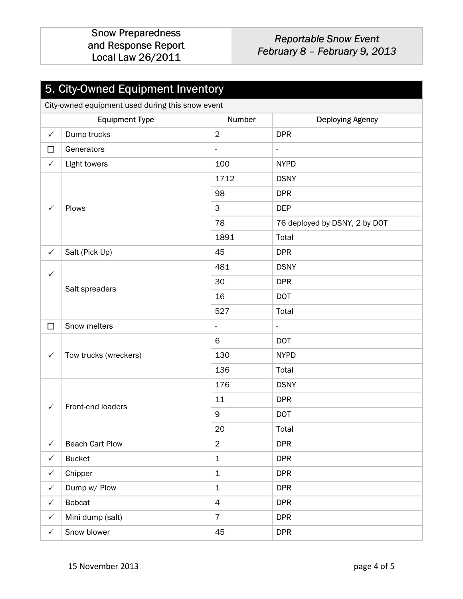### Reportable Snow Event February 8 – February 9, 2013

# 5. City-Owned Equipment Inventory

City-owned equipment used during this snow event

|              | <b>Equipment Type</b>  | Number                   | <b>Deploying Agency</b>       |
|--------------|------------------------|--------------------------|-------------------------------|
| $\checkmark$ | Dump trucks            | $\overline{2}$           | <b>DPR</b>                    |
| $\Box$       | Generators             | $\overline{\phantom{a}}$ | $\blacksquare$                |
| $\checkmark$ | Light towers           | 100                      | <b>NYPD</b>                   |
|              |                        | 1712                     | <b>DSNY</b>                   |
|              |                        | 98                       | <b>DPR</b>                    |
| $\checkmark$ | Plows                  | $\mathbf{3}$             | <b>DEP</b>                    |
|              |                        | 78                       | 76 deployed by DSNY, 2 by DOT |
|              |                        | 1891                     | Total                         |
| $\checkmark$ | Salt (Pick Up)         | 45                       | <b>DPR</b>                    |
| $\checkmark$ |                        | 481                      | <b>DSNY</b>                   |
|              | Salt spreaders         | 30                       | <b>DPR</b>                    |
|              |                        | 16                       | <b>DOT</b>                    |
|              |                        | 527                      | Total                         |
| $\Box$       | Snow melters           | $\overline{\phantom{a}}$ | ÷,                            |
|              |                        | 6                        | <b>DOT</b>                    |
| $\checkmark$ | Tow trucks (wreckers)  | 130                      | <b>NYPD</b>                   |
|              |                        | 136                      | Total                         |
|              |                        | 176                      | <b>DSNY</b>                   |
| $\checkmark$ | Front-end loaders      | 11                       | <b>DPR</b>                    |
|              |                        | $\boldsymbol{9}$         | <b>DOT</b>                    |
|              |                        | 20                       | Total                         |
| $\checkmark$ | <b>Beach Cart Plow</b> | $\mathbf 2$              | <b>DPR</b>                    |
| $\checkmark$ | <b>Bucket</b>          | $\mathbf 1$              | <b>DPR</b>                    |
| $\checkmark$ | Chipper                | $\mathbf 1$              | <b>DPR</b>                    |
| $\checkmark$ | Dump w/ Plow           | $\mathbf 1$              | <b>DPR</b>                    |
| $\checkmark$ | <b>Bobcat</b>          | $\overline{4}$           | <b>DPR</b>                    |
| $\checkmark$ | Mini dump (salt)       | $\overline{7}$           | <b>DPR</b>                    |
| $\checkmark$ | Snow blower            | 45                       | <b>DPR</b>                    |